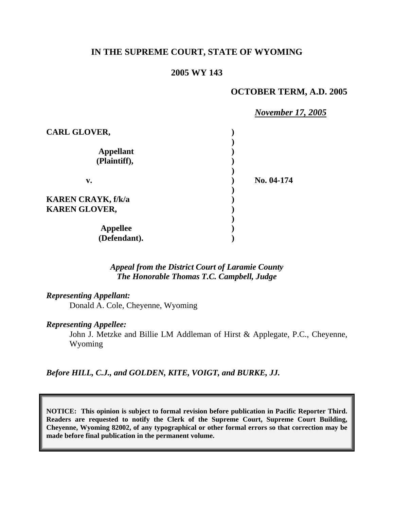# **IN THE SUPREME COURT, STATE OF WYOMING**

#### **2005 WY 143**

### **OCTOBER TERM, A.D. 2005**

|                           | <b>November 17, 2005</b> |
|---------------------------|--------------------------|
| <b>CARL GLOVER,</b>       |                          |
|                           |                          |
| <b>Appellant</b>          |                          |
| (Plaintiff),<br>v.        |                          |
|                           | No. 04-174               |
|                           |                          |
| <b>KAREN CRAYK, f/k/a</b> |                          |
| <b>KAREN GLOVER,</b>      |                          |
|                           |                          |
| <b>Appellee</b>           |                          |
| (Defendant).              |                          |

# *Appeal from the District Court of Laramie County The Honorable Thomas T.C. Campbell, Judge*

#### *Representing Appellant:*

Donald A. Cole, Cheyenne, Wyoming

#### *Representing Appellee:*

John J. Metzke and Billie LM Addleman of Hirst & Applegate, P.C., Cheyenne, Wyoming

*Before HILL, C.J., and GOLDEN, KITE, VOIGT, and BURKE, JJ.* 

**NOTICE: This opinion is subject to formal revision before publication in Pacific Reporter Third. Readers are requested to notify the Clerk of the Supreme Court, Supreme Court Building, Cheyenne, Wyoming 82002, of any typographical or other formal errors so that correction may be made before final publication in the permanent volume.**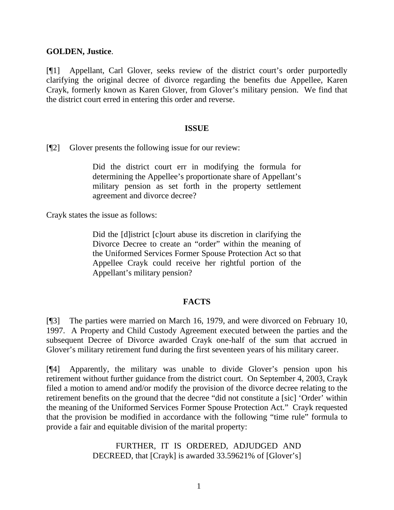### **GOLDEN, Justice**.

[¶1] Appellant, Carl Glover, seeks review of the district court's order purportedly clarifying the original decree of divorce regarding the benefits due Appellee, Karen Crayk, formerly known as Karen Glover, from Glover's military pension. We find that the district court erred in entering this order and reverse.

### **ISSUE**

[¶2] Glover presents the following issue for our review:

Did the district court err in modifying the formula for determining the Appellee's proportionate share of Appellant's military pension as set forth in the property settlement agreement and divorce decree?

Crayk states the issue as follows:

Did the [d]istrict [c]ourt abuse its discretion in clarifying the Divorce Decree to create an "order" within the meaning of the Uniformed Services Former Spouse Protection Act so that Appellee Crayk could receive her rightful portion of the Appellant's military pension?

## **FACTS**

[¶3] The parties were married on March 16, 1979, and were divorced on February 10, 1997. A Property and Child Custody Agreement executed between the parties and the subsequent Decree of Divorce awarded Crayk one-half of the sum that accrued in Glover's military retirement fund during the first seventeen years of his military career.

[¶4] Apparently, the military was unable to divide Glover's pension upon his retirement without further guidance from the district court. On September 4, 2003, Crayk filed a motion to amend and/or modify the provision of the divorce decree relating to the retirement benefits on the ground that the decree "did not constitute a [sic] 'Order' within the meaning of the Uniformed Services Former Spouse Protection Act." Crayk requested that the provision be modified in accordance with the following "time rule" formula to provide a fair and equitable division of the marital property:

> FURTHER, IT IS ORDERED, ADJUDGED AND DECREED, that [Crayk] is awarded 33.59621% of [Glover's]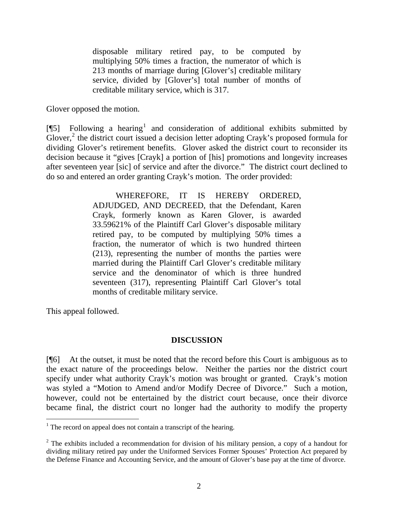disposable military retired pay, to be computed by multiplying 50% times a fraction, the numerator of which is 213 months of marriage during [Glover's] creditable military service, divided by [Glover's] total number of months of creditable military service, which is 317.

Glover opposed the motion.

[ $[$ [5] Following a hearing<sup>[1](#page-2-0)</sup> and consideration of additional exhibits submitted by Glover, $^2$  $^2$  the district court issued a decision letter adopting Crayk's proposed formula for dividing Glover's retirement benefits. Glover asked the district court to reconsider its decision because it "gives [Crayk] a portion of [his] promotions and longevity increases after seventeen year [sic] of service and after the divorce." The district court declined to do so and entered an order granting Crayk's motion. The order provided:

> WHEREFORE, IT IS HEREBY ORDERED, ADJUDGED, AND DECREED, that the Defendant, Karen Crayk, formerly known as Karen Glover, is awarded 33.59621% of the Plaintiff Carl Glover's disposable military retired pay, to be computed by multiplying 50% times a fraction, the numerator of which is two hundred thirteen (213), representing the number of months the parties were married during the Plaintiff Carl Glover's creditable military service and the denominator of which is three hundred seventeen (317), representing Plaintiff Carl Glover's total months of creditable military service.

This appeal followed.

 $\overline{a}$ 

## **DISCUSSION**

[¶6] At the outset, it must be noted that the record before this Court is ambiguous as to the exact nature of the proceedings below. Neither the parties nor the district court specify under what authority Crayk's motion was brought or granted. Crayk's motion was styled a "Motion to Amend and/or Modify Decree of Divorce." Such a motion, however, could not be entertained by the district court because, once their divorce became final, the district court no longer had the authority to modify the property

<span id="page-2-0"></span> $<sup>1</sup>$  The record on appeal does not contain a transcript of the hearing.</sup>

<span id="page-2-1"></span> $2$  The exhibits included a recommendation for division of his military pension, a copy of a handout for dividing military retired pay under the Uniformed Services Former Spouses' Protection Act prepared by the Defense Finance and Accounting Service, and the amount of Glover's base pay at the time of divorce.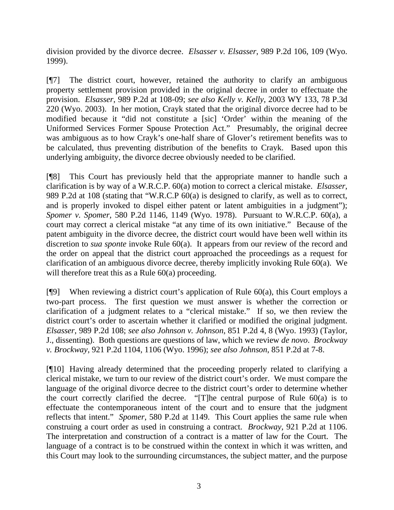division provided by the divorce decree. *Elsasser v. Elsasser*, 989 P.2d 106, 109 (Wyo. 1999).

[¶7] The district court, however, retained the authority to clarify an ambiguous property settlement provision provided in the original decree in order to effectuate the provision. *Elsasser*, 989 P.2d at 108-09; *see also Kelly v. Kelly*, 2003 WY 133, 78 P.3d 220 (Wyo. 2003). In her motion, Crayk stated that the original divorce decree had to be modified because it "did not constitute a [sic] 'Order' within the meaning of the Uniformed Services Former Spouse Protection Act." Presumably, the original decree was ambiguous as to how Crayk's one-half share of Glover's retirement benefits was to be calculated, thus preventing distribution of the benefits to Crayk. Based upon this underlying ambiguity, the divorce decree obviously needed to be clarified.

[¶8] This Court has previously held that the appropriate manner to handle such a clarification is by way of a W.R.C.P. 60(a) motion to correct a clerical mistake. *Elsasser*, 989 P.2d at 108 (stating that "W.R.C.P 60(a) is designed to clarify, as well as to correct, and is properly invoked to dispel either patent or latent ambiguities in a judgment"); *Spomer v. Spomer*, 580 P.2d 1146, 1149 (Wyo. 1978). Pursuant to W.R.C.P. 60(a), a court may correct a clerical mistake "at any time of its own initiative." Because of the patent ambiguity in the divorce decree, the district court would have been well within its discretion to *sua sponte* invoke Rule 60(a). It appears from our review of the record and the order on appeal that the district court approached the proceedings as a request for clarification of an ambiguous divorce decree, thereby implicitly invoking Rule 60(a). We will therefore treat this as a Rule 60(a) proceeding.

 $[$ [9] When reviewing a district court's application of Rule 60(a), this Court employs a two-part process. The first question we must answer is whether the correction or clarification of a judgment relates to a "clerical mistake." If so, we then review the district court's order to ascertain whether it clarified or modified the original judgment. *Elsasser*, 989 P.2d 108; *see also Johnson v. Johnson*, 851 P.2d 4, 8 (Wyo. 1993) (Taylor, J., dissenting). Both questions are questions of law, which we review *de novo*. *Brockway v. Brockway*, 921 P.2d 1104, 1106 (Wyo. 1996); *see also Johnson*, 851 P.2d at 7-8.

[¶10] Having already determined that the proceeding properly related to clarifying a clerical mistake, we turn to our review of the district court's order. We must compare the language of the original divorce decree to the district court's order to determine whether the court correctly clarified the decree. "[T]he central purpose of Rule 60(a) is to effectuate the contemporaneous intent of the court and to ensure that the judgment reflects that intent." *Spomer*, 580 P.2d at 1149. This Court applies the same rule when construing a court order as used in construing a contract. *Brockway,* 921 P.2d at 1106. The interpretation and construction of a contract is a matter of law for the Court. The language of a contract is to be construed within the context in which it was written, and this Court may look to the surrounding circumstances, the subject matter, and the purpose